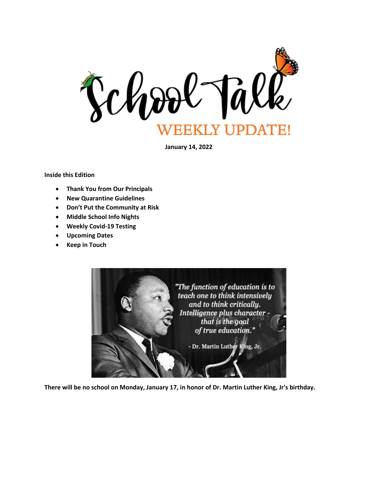

**January 14, 2022**

**Inside this Edition**

- **Thank You from Our Principals**
- **New Quarantine Guidelines**
- **Don't Put the Community at Risk**
- **Middle School Info Nights**
- **Weekly Covid-19 Testing**
- **Upcoming Dates**
- **Keep in Touch**



**There will be no school on Monday, January 17, in honor of Dr. Martin Luther King, Jr's birthday.**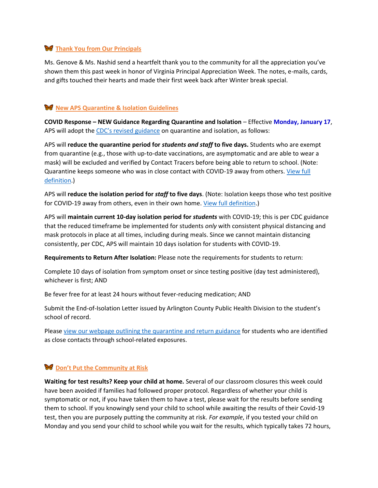### **Thank You from Our Principals**

Ms. Genove & Ms. Nashid send a heartfelt thank you to the community for all the appreciation you've shown them this past week in honor of Virginia Principal Appreciation Week. The notes, e-mails, cards, and gifts touched their hearts and made their first week back after Winter break special.

## **W** New APS Quarantine & Isolation Guidelines

**COVID Response – NEW Guidance Regarding Quarantine and Isolation** – Effective **Monday, January 17**, APS will adopt the [CDC's revised guidance](https://www.cdc.gov/coronavirus/2019-ncov/your-health/quarantine-isolation.html) on quarantine and isolation, as follows:

APS will **reduce the quarantine period for** *students and staff* **to five days.** Students who are exempt from quarantine (e.g., those with up-to-date vaccinations, are asymptomatic and are able to wear a mask) will be excluded and verified by Contact Tracers before being able to return to school. (Note: Quarantine keeps someone who was in close contact with COVID-19 away from others. [View full](https://www.cdc.gov/coronavirus/2019-ncov/downloads/COVID-19-Quarantine-vs-Isolation.pdf)  [definition.](https://www.cdc.gov/coronavirus/2019-ncov/downloads/COVID-19-Quarantine-vs-Isolation.pdf))

APS will **reduce the isolation period for** *staff* **to five days**. (Note: Isolation keeps those who test positive for COVID-19 away from others, even in their own home[. View full definition.](https://www.cdc.gov/coronavirus/2019-ncov/downloads/COVID-19-Quarantine-vs-Isolation.pdf))

APS will **maintain current 10-day isolation period for** *students* with COVID-19; this is per CDC guidance that the reduced timeframe be implemented for students *only* with consistent physical distancing and mask protocols in place at all times, including during meals. Since we cannot maintain distancing consistently, per CDC, APS will maintain 10 days isolation for students with COVID-19.

**Requirements to Return After Isolation:** Please note the requirements for students to return:

Complete 10 days of isolation from symptom onset or since testing positive (day test administered), whichever is first; AND

Be fever free for at least 24 hours without fever-reducing medication; AND

Submit the End-of-Isolation Letter issued by Arlington County Public Health Division to the student's school of record.

Please [view our webpage outlining the quarantine and return guidance](https://www.apsva.us/school-year-2021-22/health-safety-information/contact-tracing-quarantine-isolation/) for students who are identified as close contacts through school-related exposures.

# **Don't Put the Community at Risk**

**Waiting for test results? Keep your child at home.** Several of our classroom closures this week could have been avoided if families had followed proper protocol. Regardless of whether your child is symptomatic or not, if you have taken them to have a test, please wait for the results before sending them to school. If you knowingly send your child to school while awaiting the results of their Covid-19 test, then you are purposely putting the community at risk. *For example*, if you tested your child on Monday and you send your child to school while you wait for the results, which typically takes 72 hours,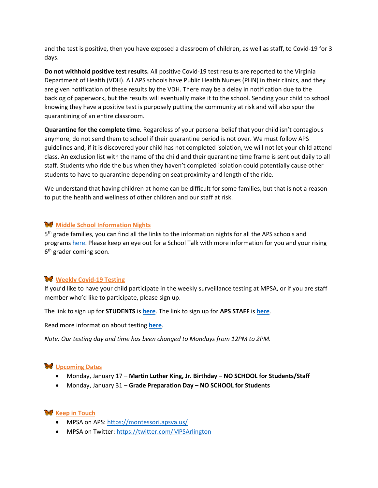and the test is positive, then you have exposed a classroom of children, as well as staff, to Covid-19 for 3 days.

**Do not withhold positive test results.** All positive Covid-19 test results are reported to the Virginia Department of Health (VDH). All APS schools have Public Health Nurses (PHN) in their clinics, and they are given notification of these results by the VDH. There may be a delay in notification due to the backlog of paperwork, but the results will eventually make it to the school. Sending your child to school knowing they have a positive test is purposely putting the community at risk and will also spur the quarantining of an entire classroom.

**Quarantine for the complete time.** Regardless of your personal belief that your child isn't contagious anymore, do not send them to school if their quarantine period is not over. We must follow APS guidelines and, if it is discovered your child has not completed isolation, we will not let your child attend class. An exclusion list with the name of the child and their quarantine time frame is sent out daily to all staff. Students who ride the bus when they haven't completed isolation could potentially cause other students to have to quarantine depending on seat proximity and length of the ride.

We understand that having children at home can be difficult for some families, but that is not a reason to put the health and wellness of other children and our staff at risk.

### **Middle School Information Nights**

5<sup>th</sup> grade families, you can find all the links to the information nights for all the APS schools and programs [here.](https://www.apsva.us/school-options/middle-school-choices/school-information-sessions/) Please keep an eye out for a School Talk with more information for you and your rising 6<sup>th</sup> grader coming soon.

### **Weekly Covid-19 Testing**

If you'd like to have your child participate in the weekly surveillance testing at MPSA, or if you are staff member who'd like to participate, please sign up.

The link to sign up for **STUDENTS** is **[here](https://www.cognitoforms.com/CIANDiagnostics1/visstatestingprogramconsentformapsstudents)**. The link to sign up for **APS STAFF** is **[here](https://www.cognitoforms.com/CIANDiagnostics1/visstatestingprogramconsentformapsstaff)**.

Read more information about testing **[here](https://www.apsva.us/school-year-2021-22/health-safety-information/covid-19-testing/)**.

*Note: Our testing day and time has been changed to Mondays from 12PM to 2PM.*

### **W** Upcoming Dates

- Monday, January 17 **Martin Luther King, Jr. Birthday – NO SCHOOL for Students/Staff**
- Monday, January 31 **Grade Preparation Day – NO SCHOOL for Students**

### **W** Keep in Touch

- MPSA on APS[: https://montessori.apsva.us/](http://track.spe.schoolmessenger.com/f/a/S3F_MkyxYcS_YQJvFEzRmg~~/AAAAAQA~/RgRim9X0P0Q4aHR0cHM6Ly9tb250ZXNzb3JpLmFwc3ZhLnVzL3dlbGNvbWUtdG8tdGhlLW1wc2EtbGlicmFyeS9XB3NjaG9vbG1CCmC4dKK6YN-K68BSE0toYXluZXM3NEBnbWFpbC5jb21YBAAAAAE~)
- MPSA on Twitter: [https://twitter.com/MPSArlington](http://track.spe.schoolmessenger.com/f/a/8NESqKT-dpa7HzTGQMrpXQ~~/AAAAAQA~/RgRim9X0P0QgaHR0cHM6Ly90d2l0dGVyLmNvbS9NUFNBcmxpbmd0b25XB3NjaG9vbG1CCmC4dKK6YN-K68BSE0toYXluZXM3NEBnbWFpbC5jb21YBAAAAAE~)